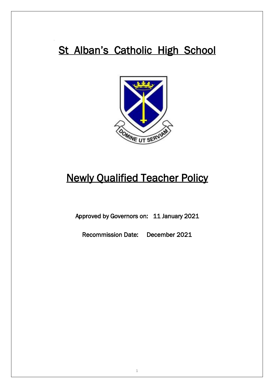# St Alban's Catholic High School



# **Newly Qualified Teacher Policy**

Approved by Governors on: 11 January 2021

Recommission Date: December 2021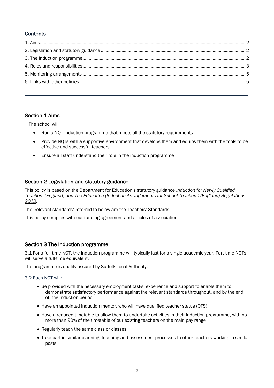# **Contents**

# <span id="page-1-0"></span>Section 1 Aims

The school will:

- Run a NQT induction programme that meets all the statutory requirements
- Provide NQTs with a supportive environment that develops them and equips them with the tools to be effective and successful teachers
- Ensure all staff understand their role in the induction programme

# <span id="page-1-1"></span>Section 2 Legislation and statutory guidance

This policy is based on the Department for Education's statutory guidance *[Induction for Newly Qualified](https://www.gov.uk/government/publications/induction-for-newly-qualified-teachers-nqts)  [Teachers \(England\)](https://www.gov.uk/government/publications/induction-for-newly-qualified-teachers-nqts) and [The Education \(Induction Arrangements for School Teachers\) \(England\) Regulations](http://www.legislation.gov.uk/uksi/2012/1115/contents/made)  [2012.](http://www.legislation.gov.uk/uksi/2012/1115/contents/made)*

The 'relevant standards' referred to below are the [Teachers' Standards](https://www.gov.uk/government/publications/teachers-standards).

This policy complies with our funding agreement and articles of association.

# <span id="page-1-2"></span>Section 3 The induction programme

3.1 For a full-time NQT, the induction programme will typically last for a single academic year. Part-time NQTs will serve a full-time equivalent.

The programme is quality assured by Suffolk Local Authority.

3.2 Each NQT will:

- Be provided with the necessary employment tasks, experience and support to enable them to demonstrate satisfactory performance against the relevant standards throughout, and by the end of, the induction period
- Have an appointed induction mentor, who will have qualified teacher status (QTS)
- Have a reduced timetable to allow them to undertake activities in their induction programme, with no more than 90% of the timetable of our existing teachers on the main pay range
- Regularly teach the same class or classes
- Take part in similar planning, teaching and assessment processes to other teachers working in similar posts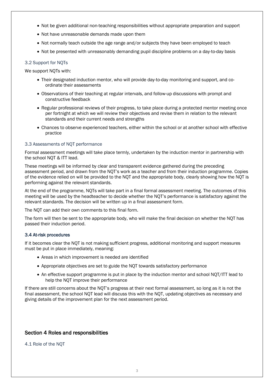- Not be given additional non-teaching responsibilities without appropriate preparation and support
- Not have unreasonable demands made upon them
- Not normally teach outside the age range and/or subjects they have been employed to teach
- Not be presented with unreasonably demanding pupil discipline problems on a day-to-day basis

## 3.2 Support for NQTs

We support NQTs with:

- Their designated induction mentor, who will provide day-to-day monitoring and support, and coordinate their assessments
- Observations of their teaching at regular intervals, and follow-up discussions with prompt and constructive feedback
- Regular professional reviews of their progress, to take place during a protected mentor meeting once per fortnight at which we will review their objectives and revise them in relation to the relevant standards and their current needs and strengths
- Chances to observe experienced teachers, either within the school or at another school with effective practice

#### 3.3 Assessments of NQT performance

Formal assessment meetings will take place termly, undertaken by the induction mentor in partnership with the school NQT & ITT lead.

These meetings will be informed by clear and transparent evidence gathered during the preceding assessment period, and drawn from the NQT's work as a teacher and from their induction programme. Copies of the evidence relied on will be provided to the NQT and the appropriate body, clearly showing how the NQT is performing against the relevant standards.

At the end of the programme, NQTs will take part in a final formal assessment meeting. The outcomes of this meeting will be used by the headteacher to decide whether the NQT's performance is satisfactory against the relevant standards. The decision will be written up in a final assessment form.

The NQT can add their own comments to this final form.

The form will then be sent to the appropriate body, who will make the final decision on whether the NQT has passed their induction period.

#### 3.4 At-risk procedures

If it becomes clear the NQT is not making sufficient progress, additional monitoring and support measures must be put in place immediately, meaning:

- Areas in which improvement is needed are identified
- Appropriate objectives are set to guide the NQT towards satisfactory performance
- An effective support programme is put in place by the induction mentor and school NQT/ITT lead to help the NQT improve their performance

If there are still concerns about the NQT's progress at their next formal assessment, so long as it is not the final assessment, the school NQT lead will discuss this with the NQT, updating objectives as necessary and giving details of the improvement plan for the next assessment period.

# <span id="page-2-0"></span>Section 4 Roles and responsibilities

4.1 Role of the NQT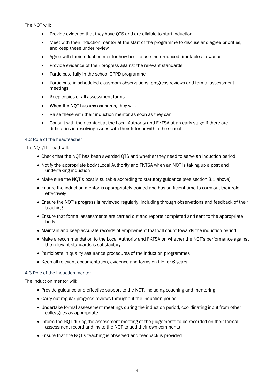The NQT will:

- Provide evidence that they have QTS and are eligible to start induction
- Meet with their induction mentor at the start of the programme to discuss and agree priorities, and keep these under review
- Agree with their induction mentor how best to use their reduced timetable allowance
- Provide evidence of their progress against the relevant standards
- Participate fully in the school CPPD programme
- Participate in scheduled classroom observations, progress reviews and formal assessment meetings
- Keep copies of all assessment forms
- When the NQT has any concerns, they will:
- Raise these with their induction mentor as soon as they can
- Consult with their contact at the Local Authority and FKTSA at an early stage if there are difficulties in resolving issues with their tutor or within the school

### 4.2 Role of the headteacher

The NQT/ITT lead will:

- Check that the NQT has been awarded QTS and whether they need to serve an induction period
- Notify the appropriate body (Local Authority and FKTSA when an NOT is taking up a post and undertaking induction
- Make sure the NQT's post is suitable according to statutory guidance (see section 3.1 above)
- Ensure the induction mentor is appropriately trained and has sufficient time to carry out their role effectively
- Ensure the NQT's progress is reviewed regularly, including through observations and feedback of their teaching
- Ensure that formal assessments are carried out and reports completed and sent to the appropriate body
- Maintain and keep accurate records of employment that will count towards the induction period
- Make a recommendation to the Local Authority and FKTSA on whether the NQT's performance against the relevant standards is satisfactory
- Participate in quality assurance procedures of the induction programmes
- Keep all relevant documentation, evidence and forms on file for 6 years

#### 4.3 Role of the induction mentor

The induction mentor will:

- Provide guidance and effective support to the NQT, including coaching and mentoring
- Carry out regular progress reviews throughout the induction period
- Undertake formal assessment meetings during the induction period, coordinating input from other colleagues as appropriate
- Inform the NQT during the assessment meeting of the judgements to be recorded on their formal assessment record and invite the NQT to add their own comments
- Ensure that the NQT's teaching is observed and feedback is provided